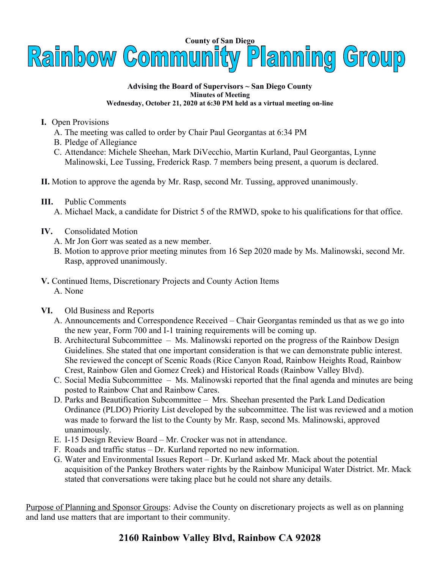

## **Advising the Board of Supervisors ~ San Diego County Minutes of Meeting Wednesday, October 21, 2020 at 6:30 PM held as a virtual meeting on-line**

- **I.** Open Provisions
	- A. The meeting was called to order by Chair Paul Georgantas at 6:34 PM
	- B. Pledge of Allegiance
	- C. Attendance: Michele Sheehan, Mark DiVecchio, Martin Kurland, Paul Georgantas, Lynne Malinowski, Lee Tussing, Frederick Rasp. 7 members being present, a quorum is declared.
- **II.** Motion to approve the agenda by Mr. Rasp, second Mr. Tussing, approved unanimously.
- **III.** Public Comments
	- A. Michael Mack, a candidate for District 5 of the RMWD, spoke to his qualifications for that office.
- **IV.** Consolidated Motion
	- A. Mr Jon Gorr was seated as a new member.
	- B. Motion to approve prior meeting minutes from 16 Sep 2020 made by Ms. Malinowski, second Mr. Rasp, approved unanimously.
- **V.** Continued Items, Discretionary Projects and County Action Items A. None
- **VI.** Old Business and Reports
	- A. Announcements and Correspondence Received Chair Georgantas reminded us that as we go into the new year, Form 700 and I-1 training requirements will be coming up.
	- B. Architectural Subcommittee Ms. Malinowski reported on the progress of the Rainbow Design Guidelines. She stated that one important consideration is that we can demonstrate public interest. She reviewed the concept of Scenic Roads (Rice Canyon Road, Rainbow Heights Road, Rainbow Crest, Rainbow Glen and Gomez Creek) and Historical Roads (Rainbow Valley Blvd).
	- C. Social Media Subcommittee Ms. Malinowski reported that the final agenda and minutes are being posted to Rainbow Chat and Rainbow Cares.
	- D. Parks and Beautification Subcommittee Mrs. Sheehan presented the Park Land Dedication Ordinance (PLDO) Priority List developed by the subcommittee. The list was reviewed and a motion was made to forward the list to the County by Mr. Rasp, second Ms. Malinowski, approved unanimously.
	- E. I-15 Design Review Board Mr. Crocker was not in attendance.
	- F. Roads and traffic status Dr. Kurland reported no new information.
	- G. Water and Environmental Issues Report Dr. Kurland asked Mr. Mack about the potential acquisition of the Pankey Brothers water rights by the Rainbow Municipal Water District. Mr. Mack stated that conversations were taking place but he could not share any details.

Purpose of Planning and Sponsor Groups: Advise the County on discretionary projects as well as on planning and land use matters that are important to their community.

## **2160 Rainbow Valley Blvd, Rainbow CA 92028**